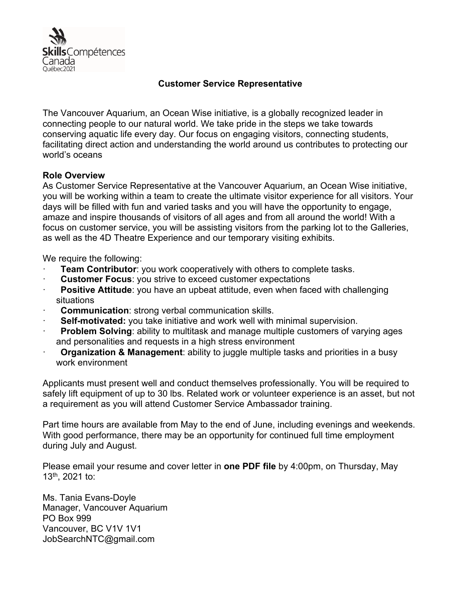

## **Customer Service Representative**

The Vancouver Aquarium, an Ocean Wise initiative, is a globally recognized leader in connecting people to our natural world. We take pride in the steps we take towards conserving aquatic life every day. Our focus on engaging visitors, connecting students, facilitating direct action and understanding the world around us contributes to protecting our world's oceans

## **Role Overview**

As Customer Service Representative at the Vancouver Aquarium, an Ocean Wise initiative, you will be working within a team to create the ultimate visitor experience for all visitors. Your days will be filled with fun and varied tasks and you will have the opportunity to engage, amaze and inspire thousands of visitors of all ages and from all around the world! With a focus on customer service, you will be assisting visitors from the parking lot to the Galleries, as well as the 4D Theatre Experience and our temporary visiting exhibits.

We require the following:

- **Team Contributor:** you work cooperatively with others to complete tasks.
- **Customer Focus: you strive to exceed customer expectations**
- **Positive Attitude:** you have an upbeat attitude, even when faced with challenging situations
- **Communication:** strong verbal communication skills.
- **Self-motivated:** you take initiative and work well with minimal supervision.
- **Problem Solving**: ability to multitask and manage multiple customers of varying ages and personalities and requests in a high stress environment
- · **Organization & Management**: ability to juggle multiple tasks and priorities in a busy work environment

Applicants must present well and conduct themselves professionally. You will be required to safely lift equipment of up to 30 lbs. Related work or volunteer experience is an asset, but not a requirement as you will attend Customer Service Ambassador training.

Part time hours are available from May to the end of June, including evenings and weekends. With good performance, there may be an opportunity for continued full time employment during July and August.

Please email your resume and cover letter in **one PDF file** by 4:00pm, on Thursday, May 13th, 2021 to:

Ms. Tania Evans-Doyle Manager, Vancouver Aquarium PO Box 999 Vancouver, BC V1V 1V1 JobSearchNTC@gmail.com